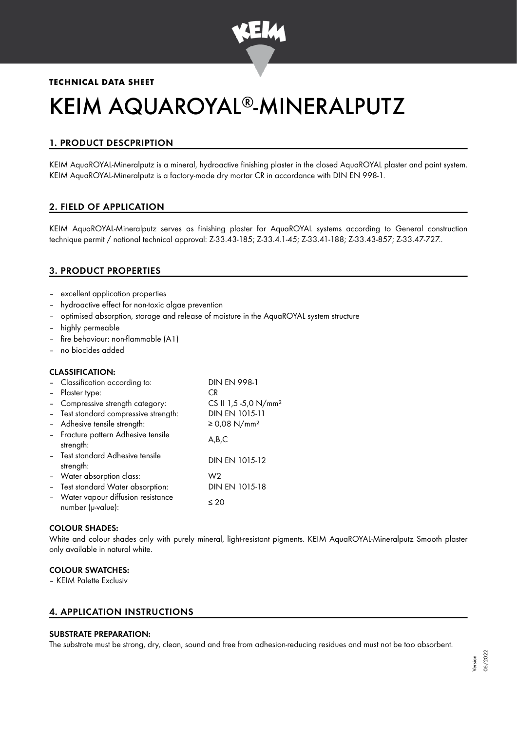

# **TECHNICAL DATA SHEET**

# KEIM AQUAROYAL®-MINERALPUTZ

# 1. PRODUCT DESCPRIPTION

KEIM AquaROYAL-Mineralputz is a mineral, hydroactive finishing plaster in the closed AquaROYAL plaster and paint system. KEIM AquaROYAL-Mineralputz is a factory-made dry mortar CR in accordance with DIN EN 998-1.

# 2. FIELD OF APPLICATION

KEIM AquaROYAL-Mineralputz serves as finishing plaster for AquaROYAL systems according to General construction technique permit / national technical approval: Z-33.43-185; Z-33.4.1-45; Z-33.41-188; Z-33.43-857; Z-33.47-727..

# 3. PRODUCT PROPERTIES

- excellent application properties
- hydroactive effect for non-toxic algae prevention
- optimised absorption, storage and release of moisture in the AquaROYAL system structure
- highly permeable
- fire behaviour: non-flammable (A1)
- no biocides added

#### CLASSIFICATION:

| - Classification according to:                         | <b>DIN EN 998-1</b>              |
|--------------------------------------------------------|----------------------------------|
| - Plaster type:                                        | CR.                              |
| Compressive strength category:                         | CS II 1,5 -5,0 N/mm <sup>2</sup> |
| - Test standard compressive strength:                  | DIN EN 1015-11                   |
| - Adhesive tensile strength:                           | ≥ 0,08 N/mm <sup>2</sup>         |
| - Fracture pattern Adhesive tensile<br>strength:       | A,B,C                            |
| - Test standard Adhesive tensile<br>strength:          | DIN EN 1015-12                   |
| - Water absorption class:                              | W <sub>2</sub>                   |
| - Test standard Water absorption:                      | DIN EN 1015-18                   |
| Water vapour diffusion resistance<br>number (µ-value): | $\leq 20$                        |

#### COLOUR SHADES:

White and colour shades only with purely mineral, light-resistant pigments. KEIM AquaROYAL-Mineralputz Smooth plaster only available in natural white.

#### COLOUR SWATCHES:

– KEIM Palette Exclusiv

### 4. APPLICATION INSTRUCTIONS

#### SUBSTRATE PREPARATION:

The substrate must be strong, dry, clean, sound and free from adhesion-reducing residues and must not be too absorbent.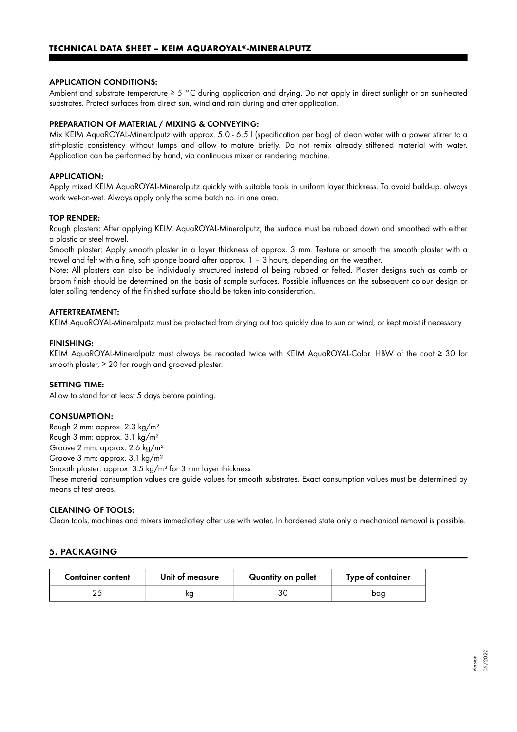#### APPLICATION CONDITIONS:

Ambient and substrate temperature  $\geq 5$  °C during application and drying. Do not apply in direct sunlight or on sun-heated substrates. Protect surfaces from direct sun, wind and rain during and after application.

#### PREPARATION OF MATERIAL / MIXING & CONVEYING:

Mix KEIM AquaROYAL-Mineralputz with approx. 5.0 - 6.5 l (specification per bag) of clean water with a power stirrer to a stiff-plastic consistency without lumps and allow to mature briefly. Do not remix already stiffened material with water. Application can be performed by hand, via continuous mixer or rendering machine.

#### APPLICATION:

Apply mixed KEIM AquaROYAL-Mineralputz quickly with suitable tools in uniform layer thickness. To avoid build-up, always work wet-on-wet. Always apply only the same batch no. in one area.

#### TOP RENDER:

Rough plasters: After applying KEIM AquaROYAL-Mineralputz, the surface must be rubbed down and smoothed with either a plastic or steel trowel.

Smooth plaster: Apply smooth plaster in a layer thickness of approx. 3 mm. Texture or smooth the smooth plaster with a trowel and felt with a fine, soft sponge board after approx. 1 – 3 hours, depending on the weather.

Note: All plasters can also be individually structured instead of being rubbed or felted. Plaster designs such as comb or broom finish should be determined on the basis of sample surfaces. Possible influences on the subsequent colour design or later soiling tendency of the finished surface should be taken into consideration.

#### AFTERTREATMENT:

KEIM AquaROYAL-Mineralputz must be protected from drying out too quickly due to sun or wind, or kept moist if necessary.

#### FINISHING:

KEIM AquaROYAL-Mineralputz must always be recoated twice with KEIM AquaROYAL-Color. HBW of the coat ≥ 30 for smooth plaster, ≥ 20 for rough and grooved plaster.

#### SETTING TIME:

Allow to stand for at least 5 days before painting.

#### CONSUMPTION:

Rough 2 mm: approx. 2.3 kg/m² Rough 3 mm: approx. 3.1 kg/m² Groove 2 mm: approx. 2.6 kg/m²

Groove 3 mm: approx. 3.1 kg/m²

Smooth plaster: approx. 3.5 kg/m² for 3 mm layer thickness

These material consumption values are guide values for smooth substrates. Exact consumption values must be determined by means of test areas.

### CLEANING OF TOOLS:

Clean tools, machines and mixers immediatley after use with water. In hardened state only a mechanical removal is possible.

# 5. PACKAGING

| <b>Container content</b> | Unit of measure | Quantity on pallet | Type of container |
|--------------------------|-----------------|--------------------|-------------------|
|                          | κg              | 30                 | bag               |